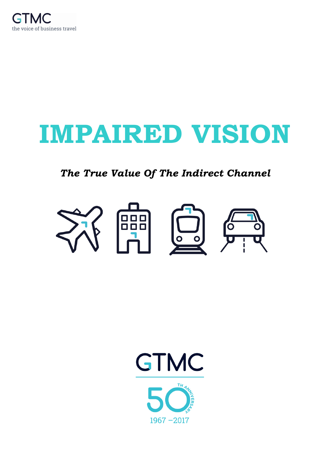

# **IMPAIRED VISION**

## *The True Value Of The Indirect Channel*



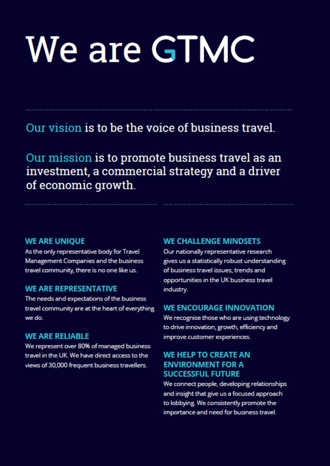# We are GTMC

# Our vision is to be the voice of business travel.

Our mission is to promote business travel as an investment, a commercial strategy and a driver of economic growth.

#### **WE ARE UNIOUE**

As the only representative body for Travel Management Companies and the business travel community, there is no one like us.

#### **WE ARE REPRESENTATIVE**

The needs and expectations of the business travel community are at the heart of everything we do.

#### **WE ARE RELIABLE**

We represent over 80% of managed business travel in the UK. We have direct access to the views of 30,000 frequent business travellers.

#### **WE CHALLENGE MINDSETS**

Our nationally representative research gives us a statistically robust understanding of business travel issues, trends and opportunities in the UK business travel industry.

#### **WE ENCOURAGE INNOVATION**

We recognise those who are using technology to drive innovation, growth, efficiency and improve customer experiences.

#### **WE HELP TO CREATE AN ENVIRONMENT FOR A SUCCESSFUL FUTURE**

We connect people, developing relationships and insight that give us a focused approach to lobbying. We consistently promote the importance and need for business travel.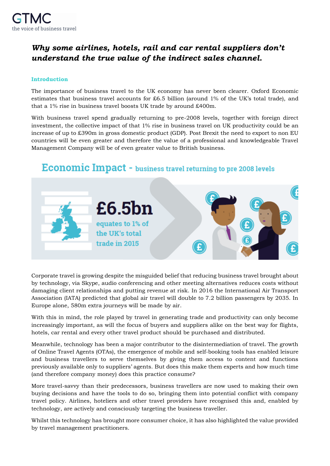

### *Why some airlines, hotels, rail and car rental suppliers don't understand the true value of the indirect sales channel.*

#### **Introduction**

The importance of business travel to the UK economy has never been clearer. Oxford Economic estimates that business travel accounts for £6.5 billion (around 1% of the UK's total trade), and that a 1% rise in business travel boosts UK trade by around £400m.

With business travel spend gradually returning to pre-2008 levels, together with foreign direct investment, the collective impact of that 1% rise in business travel on UK productivity could be an increase of up to £390m in gross domestic product (GDP). Post Brexit the need to export to non EU countries will be even greater and therefore the value of a professional and knowledgeable Travel Management Company will be of even greater value to British business.

## Economic Impact - business travel returning to pre 2008 levels



Corporate travel is growing despite the misguided belief that reducing business travel brought about by technology, via Skype, audio conferencing and other meeting alternatives reduces costs without damaging client relationships and putting revenue at risk. In 2016 the International Air Transport Association (IATA) predicted that global air travel will double to 7.2 billion passengers by 2035. In Europe alone, 580m extra journeys will be made by air.

With this in mind, the role played by travel in generating trade and productivity can only become increasingly important, as will the focus of buyers and suppliers alike on the best way for flights, hotels, car rental and every other travel product should be purchased and distributed.

Meanwhile, technology has been a major contributor to the disintermediation of travel. The growth of Online Travel Agents (OTAs), the emergence of mobile and self-booking tools has enabled leisure and business travellers to serve themselves by giving them access to content and functions previously available only to suppliers' agents. But does this make them experts and how much time (and therefore company money) does this practice consume?

More travel-savvy than their predecessors, business travellers are now used to making their own buying decisions and have the tools to do so, bringing them into potential conflict with company travel policy. Airlines, hoteliers and other travel providers have recognised this and, enabled by technology, are actively and consciously targeting the business traveller.

Whilst this technology has brought more consumer choice, it has also highlighted the value provided by travel management practitioners.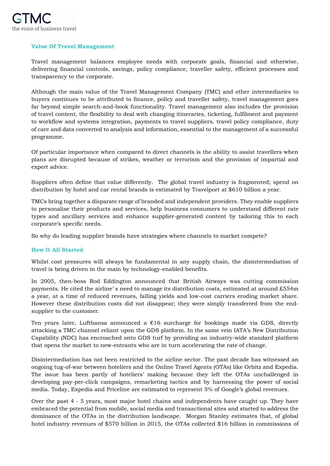

#### **Value Of Travel Management**

Travel management balances employee needs with corporate goals, financial and otherwise, delivering financial controls, savings, policy compliance, traveller safety, efficient processes and transparency to the corporate.

Although the main value of the Travel Management Company (TMC) and other intermediaries to buyers continues to be attributed to finance, policy and traveller safety, travel management goes far beyond simple search-and-book functionality. Travel management also includes the provision of travel content, the flexibility to deal with changing itineraries, ticketing, fulfilment and payment to workflow and systems integration, payments to travel suppliers, travel policy compliance, duty of care and data converted to analysis and information, essential to the management of a successful programme.

Of particular importance when compared to direct channels is the ability to assist travellers when plans are disrupted because of strikes, weather or terrorism and the provision of impartial and expert advice.

Suppliers often define that value differently. The global travel industry is fragmented; spend on distribution by hotel and car rental brands is estimated by Travelport at \$610 billion a year.

TMCs bring together a disparate range of branded and independent providers. They enable suppliers to personalise their products and services, help business consumers to understand different rate types and ancillary services and enhance supplier-generated content by tailoring this to each corporate's specific needs.

So why do leading supplier brands have strategies where channels to market compete?

#### **How It All Started**

Whilst cost pressures will always be fundamental in any supply chain, the disintermediation of travel is being driven in the main by technology-enabled benefits.

In 2005, then-boss Rod Eddington announced that British Airways was cutting commission payments. He cited the airline' s need to manage its distribution costs, estimated at around £554m a year, at a time of reduced revenues, falling yields and low-cost carriers eroding market share. However these distribution costs did not disappear; they were simply transferred from the endsupplier to the customer.

Ten years later, Lufthansa announced a  $\epsilon$ 16 surcharge for bookings made via GDS, directly attacking a TMC channel reliant upon the GDS platform. In the same vein IATA's New Distribution Capability (NDC) has encroached onto GDS turf by providing an industry-wide standard platform that opens the market to new-entrants who are in turn accelerating the rate of change.

Disintermediation has not been restricted to the airline sector. The past decade has witnessed an ongoing tug-of-war between hoteliers and the Online Travel Agents (OTAs) like Orbitz and Expedia. The issue has been partly of hoteliers' making because they left the OTAs unchallenged in developing pay-per-click campaigns, remarketing tactics and by harnessing the power of social media. Today, Expedia and Priceline are estimated to represent 5% of Google's global revenues.

Over the past 4 - 5 years, most major hotel chains and independents have caught up. They have embraced the potential from mobile, social media and transactional sites and started to address the dominance of the OTAs in the distribution landscape. Morgan Stanley estimates that, of global hotel industry revenues of \$570 billion in 2015, the OTAs collected \$16 billion in commissions of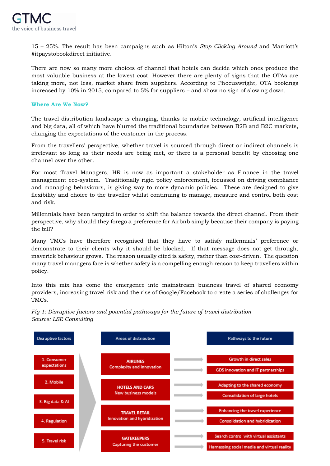15 – 25%. The result has been campaigns such as Hilton's *Stop Clicking Around* and Marriott's #itpaystobookdirect initiative.

There are now so many more choices of channel that hotels can decide which ones produce the most valuable business at the lowest cost. However there are plenty of signs that the OTAs are taking more, not less, market share from suppliers. According to Phocuswright, OTA bookings increased by 10% in 2015, compared to 5% for suppliers – and show no sign of slowing down.

#### **Where Are We Now?**

The travel distribution landscape is changing, thanks to mobile technology, artificial intelligence and big data, all of which have blurred the traditional boundaries between B2B and B2C markets, changing the expectations of the customer in the process.

From the travellers' perspective, whether travel is sourced through direct or indirect channels is irrelevant so long as their needs are being met, or there is a personal benefit by choosing one channel over the other.

For most Travel Managers, HR is now as important a stakeholder as Finance in the travel management eco-system. Traditionally rigid policy enforcement, focussed on driving compliance and managing behaviours, is giving way to more dynamic policies. These are designed to give flexibility and choice to the traveller whilst continuing to manage, measure and control both cost and risk.

Millennials have been targeted in order to shift the balance towards the direct channel. From their perspective, why should they forego a preference for Airbnb simply because their company is paying the bill?

Many TMCs have therefore recognised that they have to satisfy millennials' preference or demonstrate to their clients why it should be blocked. If that message does not get through, maverick behaviour grows. The reason usually cited is safety, rather than cost-driven. The question many travel managers face is whether safety is a compelling enough reason to keep travellers within policy.

Into this mix has come the emergence into mainstream business travel of shared economy providers, increasing travel risk and the rise of Google/Facebook to create a series of challenges for TMCs.

*Fig 1: Disruptive factors and potential pathways for the future of travel distribution Source: LSE Consulting*

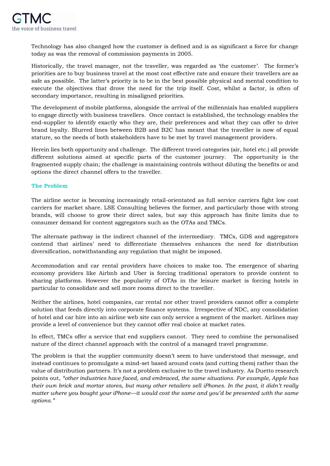Technology has also changed how the customer is defined and is as significant a force for change today as was the removal of commission payments in 2005.

Historically, the travel manager, not the traveller, was regarded as 'the customer'. The former's priorities are to buy business travel at the most cost effective rate and ensure their travellers are as safe as possible. The latter's priority is to be in the best possible physical and mental condition to execute the objectives that drove the need for the trip itself. Cost, whilst a factor, is often of secondary importance, resulting in misaligned priorities.

The development of mobile platforms, alongside the arrival of the millennials has enabled suppliers to engage directly with business travellers. Once contact is established, the technology enables the end-supplier to identify exactly who they are, their preferences and what they can offer to drive brand loyalty. Blurred lines between B2B and B2C has meant that the traveller is now of equal stature, so the needs of both stakeholders have to be met by travel management providers.

Herein lies both opportunity and challenge. The different travel categories (air, hotel etc.) all provide different solutions aimed at specific parts of the customer journey. The opportunity is the fragmented supply chain; the challenge is maintaining controls without diluting the benefits or and options the direct channel offers to the traveller.

#### **The Problem**

The airline sector is becoming increasingly retail-orientated as full service carriers fight low cost carriers for market share. LSE Consulting believes the former, and particularly those with strong brands, will choose to grow their direct sales, but say this approach has finite limits due to consumer demand for content aggregators such as the OTAs and TMCs.

The alternate pathway is the indirect channel of the intermediary. TMCs, GDS and aggregators contend that airlines' need to differentiate themselves enhances the need for distribution diversification, notwithstanding any regulation that might be imposed.

Accommodation and car rental providers have choices to make too. The emergence of sharing economy providers like Airbnb and Uber is forcing traditional operators to provide content to sharing platforms. However the popularity of OTAs in the leisure market is forcing hotels in particular to consolidate and sell more rooms direct to the traveller.

Neither the airlines, hotel companies, car rental nor other travel providers cannot offer a complete solution that feeds directly into corporate finance systems. Irrespective of NDC, any consolidation of hotel and car hire into an airline web site can only service a segment of the market. Airlines may provide a level of convenience but they cannot offer real choice at market rates.

In effect, TMCs offer a service that end suppliers cannot. They need to combine the personalised nature of the direct channel approach with the control of a managed travel programme.

The problem is that the supplier community doesn't seem to have understood that message, and instead continues to promulgate a mind-set based around costs (and cutting them) rather than the value of distribution partners. It's not a problem exclusive to the travel industry. As Duetto research points out, *"other industries have faced, and embraced, the same situations. For example, Apple has their own brick and mortar stores, but many other retailers sell iPhones. In the past, it didn't really matter where you bought your iPhone—it would cost the same and you'd be presented with the same options."*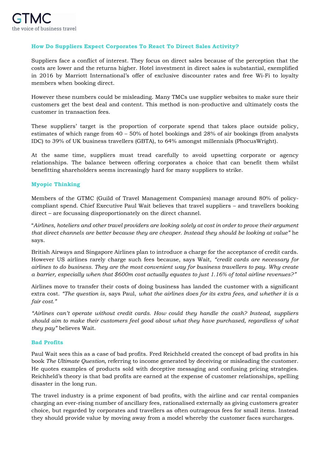#### **How Do Suppliers Expect Corporates To React To Direct Sales Activity?**

Suppliers face a conflict of interest. They focus on direct sales because of the perception that the costs are lower and the returns higher. Hotel investment in direct sales is substantial, exemplified in 2016 by Marriott International's offer of exclusive discounter rates and free Wi-Fi to loyalty members when booking direct.

However these numbers could be misleading. Many TMCs use supplier websites to make sure their customers get the best deal and content. This method is non-productive and ultimately costs the customer in transaction fees.

These suppliers' target is the proportion of corporate spend that takes place outside policy, estimates of which range from 40 – 50% of hotel bookings and 28% of air bookings (from analysts IDC) to 39% of UK business travellers (GBTA), to 64% amongst millennials (PhocusWright).

At the same time, suppliers must tread carefully to avoid upsetting corporate or agency relationships. The balance between offering corporates a choice that can benefit them whilst benefitting shareholders seems increasingly hard for many suppliers to strike.

#### **Myopic Thinking**

Members of the GTMC (Guild of Travel Management Companies) manage around 80% of policycompliant spend. Chief Executive Paul Wait believes that travel suppliers – and travellers booking direct – are focussing disproportionately on the direct channel.

"*Airlines, hoteliers and other travel providers are looking solely at cost in order to prove their argument that direct channels are better because they are cheaper. Instead they should be looking at value"* he says.

British Airways and Singapore Airlines plan to introduce a charge for the acceptance of credit cards. However US airlines rarely charge such fees because, says Wait, *"credit cards are necessary for airlines to do business. They are the most convenient way for business travellers to pay. Why create a barrier, especially when that \$600m cost actually equates to just 1.16% of total airline revenues?"*

Airlines move to transfer their costs of doing business has landed the customer with a significant extra cost. *"The question is*, says Paul, *what the airlines does for its extra fees, and whether it is a fair cost."*

*"Airlines can't operate without credit cards. How could they handle the cash? Instead, suppliers should aim to make their customers feel good about what they have purchased, regardless of what they pay"* believes Wait.

#### **Bad Profits**

Paul Wait sees this as a case of bad profits. Fred Reichheld created the concept of bad profits in his book *The Ultimate Question,* referring to income generated by deceiving or misleading the customer. He quotes examples of products sold with deceptive messaging and confusing pricing strategies. Reichheld's theory is that bad profits are earned at the expense of customer relationships, spelling disaster in the long run.

The travel industry is a prime exponent of bad profits, with the airline and car rental companies charging an ever-rising number of ancillary fees, rationalised externally as giving customers greater choice, but regarded by corporates and travellers as often outrageous fees for small items. Instead they should provide value by moving away from a model whereby the customer faces surcharges.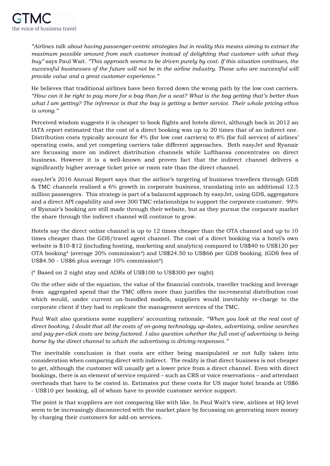*"Airlines talk about having passenger-centric strategies but in reality this means aiming to extract the maximum possible amount from each customer instead of delighting that customer with what they buy"* says Paul Wait. *"This approach seems to be driven purely by cost. If this situation continues, the successful businesses of the future will not be in the airline industry. Those who are successful will provide value and a great customer experience."*

He believes that traditional airlines have been forced down the wrong path by the low cost carriers. *"How can it be right to pay more for a bag than for a seat? What is the bag getting that's better than what I am getting? The inference is that the bag is getting a better service. Their whole pricing ethos is wrong."*

Perceived wisdom suggests it is cheaper to book flights and hotels direct, although back in 2012 an IATA report estimated that the cost of a direct booking was up to 20 times that of an indirect one. Distribution costs typically account for 4% (for low cost carriers) to 8% (for full service) of airlines' operating costs, and yet competing carriers take different approaches. Both easyJet and Ryanair are focussing more on indirect distribution channels while Lufthansa concentrates on direct business. However it is a well-known and proven fact that the indirect channel delivers a significantly higher average ticket price or room rate than the direct channel.

easyJet's 2016 Annual Report says that the airline's targeting of business travellers through GDS & TMC channels realised a 6% growth in corporate business, translating into an additional 12.5 million passengers. This strategy is part of a balanced approach by easyJet, using GDS, aggregators and a direct API capability and over 300 TMC relationships to support the corporate customer. 99% of Ryanair's booking are still made through their website, but as they pursue the corporate market the share through the indirect channel will continue to grow.

Hotels say the direct online channel is up to 12 times cheaper than the OTA channel and up to 10 times cheaper than the GDS/travel agent channel. The cost of a direct booking via a hotel's own website is \$10-\$12 (including hosting, marketing and analytics) compared to US\$40 to US\$120 per OTA booking\* (average 20% commission\*) and US\$24.50 to US\$66 per GDS booking. (GDS fees of US\$4.50 - US\$6 plus average 10% commission\*)

(\* Based on 2 night stay and ADRs of US\$100 to US\$300 per night)

On the other side of the equation, the value of the financial controls, traveller tracking and leverage from aggregated spend that the TMC offers more than justifies the incremental distribution cost which would, under current un-bundled models, suppliers would inevitably re-charge to the corporate client if they had to replicate the management services of the TMC.

Paul Wait also questions some suppliers' accounting rationale. *"When you look at the real cost of direct booking, I doubt that all the costs of on-going technology up-dates, advertising, online searches and pay-per-click costs are being factored. I also question whether the full cost of advertising is being borne by the direct channel to which the advertising is driving responses."*

The inevitable conclusion is that costs are either being manipulated or not fully taken into consideration when comparing direct with indirect. The reality is that direct business is not cheaper to get, although the customer will usually get a lower price from a direct channel. Even with direct bookings, there is an element of service required – such as CRS or voice reservations – and attendant overheads that have to be costed in. Estimates put these costs for US major hotel brands at US\$6 - US\$10 per booking, all of whom have to provide customer service support.

The point is that suppliers are not comparing like with like. In Paul Wait's view, airlines at HQ level seem to be increasingly disconnected with the market place by focussing on generating more money by charging their customers for add-on services.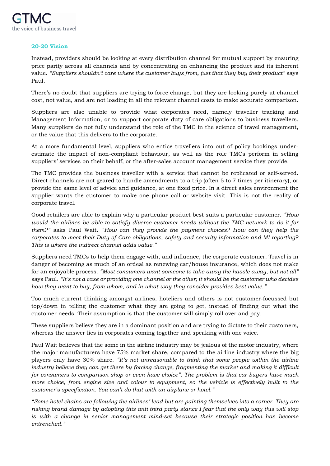

#### **20-20 Vision**

Instead, providers should be looking at every distribution channel for mutual support by ensuring price parity across all channels and by concentrating on enhancing the product and its inherent value. *"Suppliers shouldn't care where the customer buys from, just that they buy their product"* says Paul.

There's no doubt that suppliers are trying to force change, but they are looking purely at channel cost, not value, and are not loading in all the relevant channel costs to make accurate comparison.

Suppliers are also unable to provide what corporates need, namely traveller tracking and Management Information, or to support corporate duty of care obligations to business travellers. Many suppliers do not fully understand the role of the TMC in the science of travel management, or the value that this delivers to the corporate.

At a more fundamental level, suppliers who entice travellers into out of policy bookings underestimate the impact of non-compliant behaviour, as well as the role TMCs perform in selling suppliers' services on their behalf, or the after-sales account management service they provide.

The TMC provides the business traveller with a service that cannot be replicated or self-served. Direct channels are not geared to handle amendments to a trip (often 5 to 7 times per itinerary), or provide the same level of advice and guidance, at one fixed price. In a direct sales environment the supplier wants the customer to make one phone call or website visit. This is not the reality of corporate travel.

Good retailers are able to explain why a particular product best suits a particular customer. *"How would the airlines be able to satisfy diverse customer needs without the TMC network to do it for them?"* asks Paul Wait. *"How can they provide the payment choices? How can they help the corporates to meet their Duty of Care obligations, safety and security information and MI reporting? This is where the indirect channel adds value."*

Suppliers need TMCs to help them engage with, and influence, the corporate customer. Travel is in danger of becoming as much of an ordeal as renewing car/house insurance, which does not make for an enjoyable process. *"Most consumers want someone to take away the hassle away, but not all"* says Paul. *"It's not a case or providing one channel or the other; it should be the customer who decides how they want to buy, from whom, and in what way they consider provides best value."*

Too much current thinking amongst airlines, hoteliers and others is not customer-focussed but top/down in telling the customer what they are going to get, instead of finding out what the customer needs. Their assumption is that the customer will simply roll over and pay.

These suppliers believe they are in a dominant position and are trying to dictate to their customers, whereas the answer lies in corporates coming together and speaking with one voice.

Paul Wait believes that the some in the airline industry may be jealous of the motor industry, where the major manufacturers have 75% market share, compared to the airline industry where the big players only have 30% share. *"It's not unreasonable to think that some people within the airline industry believe they can get there by forcing change, fragmenting the market and making it difficult for consumers to comparison shop or even have choice". The problem is that car buyers have much more choice, from engine size and colour to equipment, so the vehicle is effectively built to the customer's specification. You can't do that with an airplane or hotel."*

*"Some hotel chains are following the airlines' lead but are painting themselves into a corner. They are risking brand damage by adopting this anti third party stance I fear that the only way this will stop is with a change in senior management mind-set because their strategic position has become entrenched."*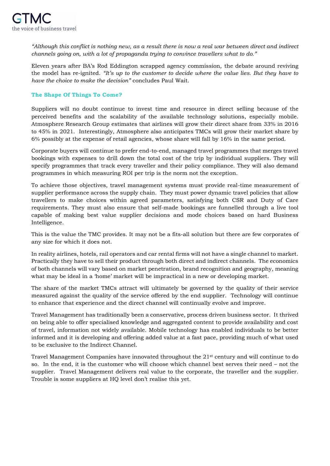

*"Although this conflict is nothing new, as a result there is now a real war between direct and indirect channels going on, with a lot of propaganda trying to convince travellers what to do."*

Eleven years after BA's Rod Eddington scrapped agency commission, the debate around reviving the model has re-ignited. *"It's up to the customer to decide where the value lies. But they have to have the choice to make the decision"* concludes Paul Wait.

#### **The Shape Of Things To Come?**

Suppliers will no doubt continue to invest time and resource in direct selling because of the perceived benefits and the scalability of the available technology solutions, especially mobile. Atmosphere Research Group estimates that airlines will grow their direct share from 33% in 2016 to 45% in 2021. Interestingly, Atmosphere also anticipates TMCs will grow their market share by 6% possibly at the expense of retail agencies, whose share will fall by 16% in the same period.

Corporate buyers will continue to prefer end-to-end, managed travel programmes that merges travel bookings with expenses to drill down the total cost of the trip by individual suppliers. They will specify programmes that track every traveller and their policy compliance. They will also demand programmes in which measuring ROI per trip is the norm not the exception.

To achieve those objectives, travel management systems must provide real-time measurement of supplier performance across the supply chain. They must power dynamic travel policies that allow travellers to make choices within agreed parameters, satisfying both CSR and Duty of Care requirements. They must also ensure that self-made bookings are funnelled through a live tool capable of making best value supplier decisions and mode choices based on hard Business Intelligence.

This is the value the TMC provides. It may not be a fits-all solution but there are few corporates of any size for which it does not.

In reality airlines, hotels, rail operators and car rental firms will not have a single channel to market. Practically they have to sell their product through both direct and indirect channels. The economics of both channels will vary based on market penetration, brand recognition and geography, meaning what may be ideal in a 'home' market will be impractical in a new or developing market.

The share of the market TMCs attract will ultimately be governed by the quality of their service measured against the quality of the service offered by the end supplier. Technology will continue to enhance that experience and the direct channel will continually evolve and improve.

Travel Management has traditionally been a conservative, process driven business sector. It thrived on being able to offer specialised knowledge and aggregated content to provide availability and cost of travel, information not widely available. Mobile technology has enabled individuals to be better informed and it is developing and offering added value at a fast pace, providing much of what used to be exclusive to the Indirect Channel.

Travel Management Companies have innovated throughout the 21st century and will continue to do so. In the end, it is the customer who will choose which channel best serves their need – not the supplier. Travel Management delivers real value to the corporate, the traveller and the supplier. Trouble is some suppliers at HQ level don't realise this yet.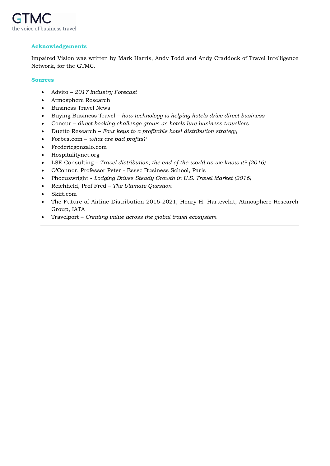

#### **Acknowledgements**

Impaired Vision was written by Mark Harris, Andy Todd and Andy Craddock of Travel Intelligence Network, for the GTMC.

#### **Sources**

- Advito *2017 Industry Forecast*
- Atmosphere Research
- Business Travel News
- Buying Business Travel *how technology is helping hotels drive direct business*
- Concur *direct booking challenge grows as hotels lure business travellers*
- Duetto Research *Four keys to a profitable hotel distribution strategy*
- Forbes.com *what are bad profits?*
- [Fredericgonzalo.com](http://fredericgonzalo.com/en/2016/05/09/hotels-promoting-direct-bookings-its-about-time/)
- Hospitalitynet.org
- LSE Consulting *Travel distribution; the end of the world as we know it? (2016)*
- O'Connor, Professor Peter Essec Business School, Paris
- Phocuswright *Lodging Drives Steady Growth in U.S. Travel Market (2016)*
- Reichheld, Prof Fred *The Ultimate Question*
- Skift.com
- The Future of Airline Distribution 2016-2021, Henry H. Harteveldt, Atmosphere Research Group, IATA
- Travelport *Creating value across the global travel ecosystem*